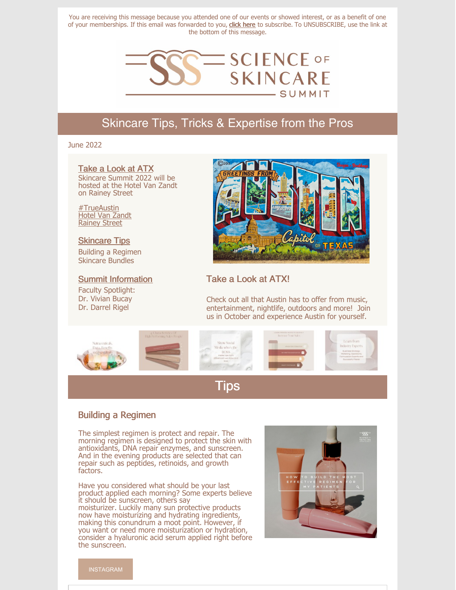You are receiving this message because you attended one of our events or showed interest, or as a benefit of one of your memberships. If this email was forwarded to you, **click here** to subscribe. To UNSUBSCRIBE, use the link at the bottom of this message.



# Skincare Tips, Tricks & Expertise from the Pros

### June 2022

### Take a Look at ATX

Skincare Summit 2022 will be hosted at the Hotel Van Zandt on Rainey Street

#TrueAustin Hotel Van Zandt Rainey Street

### Skincare Tips

Building a Regimen Skincare Bundles

#### Summit Information

Faculty Spotlight: Dr. Vivian Bucay Dr. Darrel Rigel



## Take a Look at ATX!

Check out all that Austin has to offer from music, entertainment, nightlife, outdoors and more! Join us in October and experience Austin for yourself.



# Tips

### Building a Regimen

The simplest regimen is protect and repair. The morning regimen is designed to protect the skin with antioxidants, DNA repair enzymes, and sunscreen. And in the evening products are selected that can repair such as peptides, retinoids, and growth factors.

Have you considered what should be your last product applied each morning? Some experts believe it should be sunscreen, others say moisturizer. Luckily many sun protective products now have moisturizing and hydrating ingredients, making this conundrum a moot point. However, if you want or need more moisturization or hydration, consider a hyaluronic acid serum applied right before the sunscreen.



INSTAGRAM